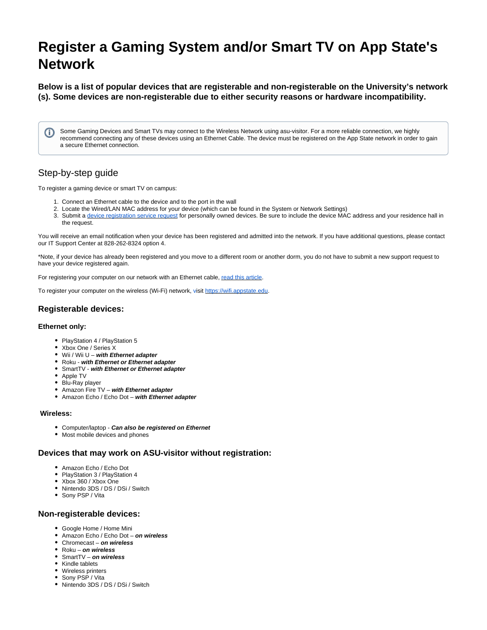# **Register a Gaming System and/or Smart TV on App State's Network**

**Below is a list of popular devices that are registerable and non-registerable on the University's network (s). Some devices are non-registerable due to either security reasons or hardware incompatibility.**

Some Gaming Devices and Smart TVs may connect to the Wireless Network using asu-visitor. For a more reliable connection, we highly O) recommend connecting any of these devices using an Ethernet Cable. The device must be registered on the App State network in order to gain a secure Ethernet connection.

# Step-by-step guide

To register a gaming device or smart TV on campus:

- 1. Connect an Ethernet cable to the device and to the port in the wall
- 2. Locate the Wired/LAN MAC address for your device (which can be found in the System or Network Settings)
- 3. Submit a [device registration service request](https://jira.appstate.edu/servicedesk/customer/portal/8/create/191) for personally owned devices. Be sure to include the device MAC address and your residence hall in the request.

You will receive an email notification when your device has been registered and admitted into the network. If you have additional questions, please contact our IT Support Center at 828-262-8324 option 4.

\*Note, if your device has already been registered and you move to a different room or another dorm, you do not have to submit a new support request to have your device registered again.

For registering your computer on our network with an Ethernet cable, [r](https://confluence.appstate.edu/pages/releaseview.action?pageId=34128259)[ead this article](https://confluence.appstate.edu/pages/viewpage.action?pageId=34128259).

To register your computer on the wireless (Wi-Fi) network, [vi](https://wifi.appstate.edu/)sit [https://wifi.appstate.edu.](https://wifi.appstate.edu/)

## **Registerable devices:**

#### **Ethernet only:**

- PlayStation 4 / PlayStation 5
- Xbox One / Series X
- Wii / Wii U **with Ethernet adapter**
- Roku **with Ethernet or Ethernet adapter**
- SmartTV **with Ethernet or Ethernet adapter**
- Apple TV
- Blu-Ray player
- Amazon Fire TV **with Ethernet adapter**
- Amazon Echo / Echo Dot **with Ethernet adapter**

#### **Wireless:**

- Computer/laptop **Can also be registered on Ethernet**
- Most mobile devices and phones

#### **Devices that may work on ASU-visitor without registration:**

- Amazon Echo / Echo Dot
- PlayStation 3 / PlayStation 4
- Xhox 360 / Xhox One
- Nintendo 3DS / DS / DSi / Switch
- Sony PSP / Vita

#### **Non-registerable devices:**

- Google Home / Home Mini
- Amazon Echo / Echo Dot **on wireless**
- Chromecast **on wireless**
- Roku **on wireless**
- SmartTV **on wireless**
- Kindle tablets
- Wireless printers
- Sony PSP / Vita
- Nintendo 3DS / DS / DSi / Switch